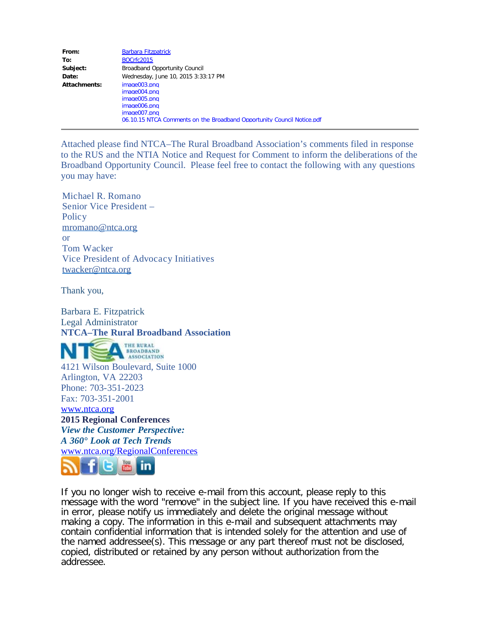| From:        | <b>Barbara Fitzpatrick</b>                                             |
|--------------|------------------------------------------------------------------------|
| To:          | <b>BOCrfc2015</b>                                                      |
| Subject:     | <b>Broadband Opportunity Council</b>                                   |
| Date:        | Wednesday, June 10, 2015 3:33:17 PM                                    |
| Attachments: | image003.png                                                           |
|              | image004.png                                                           |
|              | image005.png                                                           |
|              | image006.png                                                           |
|              | image007.png                                                           |
|              | 06.10.15 NTCA Comments on the Broadband Opportunity Council Notice.pdf |

Attached please find NTCA–The Rural Broadband Association's comments filed in response to the RUS and the NTIA Notice and Request for Comment to inform the deliberations of the Broadband Opportunity Council. Please feel free to contact the following with any questions you may have:

Michael R. Romano Senior Vice President – **Policy** [mromano@ntca.org](mailto:mromano@ntca.org) or Tom Wacker Vice President of Advocacy Initiatives [twacker@ntca.org](mailto:twacker@ntca.org)

Thank you,

Barbara E. Fitzpatrick Legal Administrator **NTCA–The Rural Broadband Association**

THE RURAL BROADBAND 4121 Wilson Boulevard, Suite 1000 Arlington, VA 22203 Phone: 703-351-2023 Fax: 703-351-2001 [www.ntca.org](http://www.ntca.org/) **2015 Regional Conferences** *View the Customer Perspective: A 360° Look at Tech Trends* [www.ntca.org/RegionalConferences](http://www.ntca.org/RegionalConferences)



If you no longer wish to receive e-mail from this account, please reply to this message with the word "remove" in the subject line. If you have received this e-mail in error, please notify us immediately and delete the original message without making a copy. The information in this e-mail and subsequent attachments may contain confidential information that is intended solely for the attention and use of the named addressee(s). This message or any part thereof must not be disclosed, copied, distributed or retained by any person without authorization from the addressee.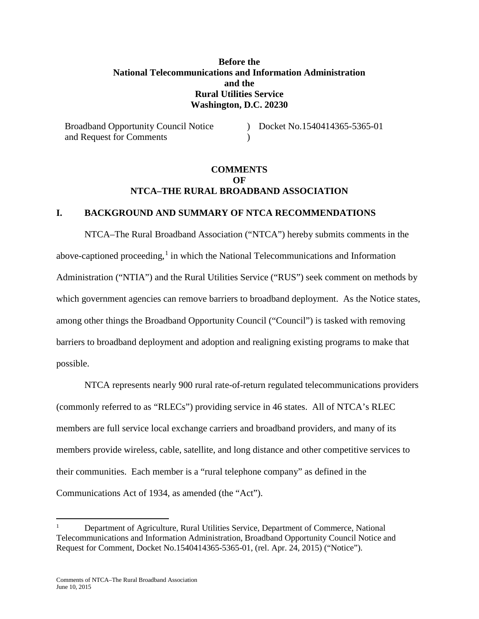## **Before the National Telecommunications and Information Administration and the Rural Utilities Service Washington, D.C. 20230**

Broadband Opportunity Council Notice and Request for Comments ) Docket No.1540414365-5365-01  $\lambda$ 

## **COMMENTS**   $\Omega$ **F NTCA–THE RURAL BROADBAND ASSOCIATION**

#### **I. BACKGROUND AND SUMMARY OF NTCA RECOMMENDATIONS**

NTCA–The Rural Broadband Association ("NTCA") hereby submits comments in the above-captioned proceeding, $<sup>1</sup>$  $<sup>1</sup>$  $<sup>1</sup>$  in which the National Telecommunications and Information</sup> Administration ("NTIA") and the Rural Utilities Service ("RUS") seek comment on methods by which government agencies can remove barriers to broadband deployment. As the Notice states, among other things the Broadband Opportunity Council ("Council") is tasked with removing barriers to broadband deployment and adoption and realigning existing programs to make that possible.

NTCA represents nearly 900 rural rate-of-return regulated telecommunications providers (commonly referred to as "RLECs") providing service in 46 states. All of NTCA's RLEC members are full service local exchange carriers and broadband providers, and many of its members provide wireless, cable, satellite, and long distance and other competitive services to their communities. Each member is a "rural telephone company" as defined in the Communications Act of 1934, as amended (the "Act").

<span id="page-1-0"></span><sup>1</sup> Department of Agriculture, Rural Utilities Service, Department of Commerce, National Telecommunications and Information Administration, Broadband Opportunity Council Notice and Request for Comment, Docket No.1540414365-5365-01, (rel. Apr. 24, 2015) ("Notice").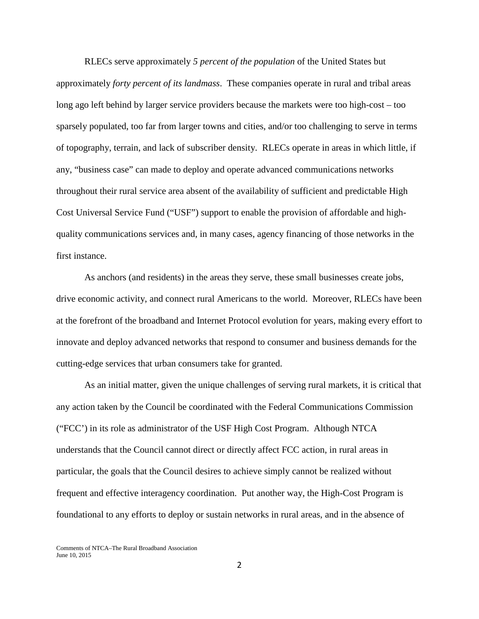RLECs serve approximately *5 percent of the population* of the United States but approximately *forty percent of its landmass*. These companies operate in rural and tribal areas long ago left behind by larger service providers because the markets were too high-cost – too sparsely populated, too far from larger towns and cities, and/or too challenging to serve in terms of topography, terrain, and lack of subscriber density. RLECs operate in areas in which little, if any, "business case" can made to deploy and operate advanced communications networks throughout their rural service area absent of the availability of sufficient and predictable High Cost Universal Service Fund ("USF") support to enable the provision of affordable and highquality communications services and, in many cases, agency financing of those networks in the first instance.

As anchors (and residents) in the areas they serve, these small businesses create jobs, drive economic activity, and connect rural Americans to the world. Moreover, RLECs have been at the forefront of the broadband and Internet Protocol evolution for years, making every effort to innovate and deploy advanced networks that respond to consumer and business demands for the cutting-edge services that urban consumers take for granted.

As an initial matter, given the unique challenges of serving rural markets, it is critical that any action taken by the Council be coordinated with the Federal Communications Commission ("FCC') in its role as administrator of the USF High Cost Program. Although NTCA understands that the Council cannot direct or directly affect FCC action, in rural areas in particular, the goals that the Council desires to achieve simply cannot be realized without frequent and effective interagency coordination. Put another way, the High-Cost Program is foundational to any efforts to deploy or sustain networks in rural areas, and in the absence of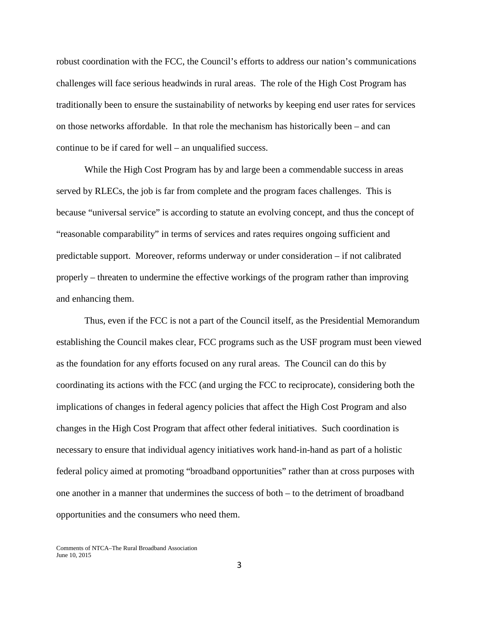robust coordination with the FCC, the Council's efforts to address our nation's communications challenges will face serious headwinds in rural areas. The role of the High Cost Program has traditionally been to ensure the sustainability of networks by keeping end user rates for services on those networks affordable. In that role the mechanism has historically been – and can continue to be if cared for well – an unqualified success.

While the High Cost Program has by and large been a commendable success in areas served by RLECs, the job is far from complete and the program faces challenges. This is because "universal service" is according to statute an evolving concept, and thus the concept of "reasonable comparability" in terms of services and rates requires ongoing sufficient and predictable support. Moreover, reforms underway or under consideration – if not calibrated properly – threaten to undermine the effective workings of the program rather than improving and enhancing them.

Thus, even if the FCC is not a part of the Council itself, as the Presidential Memorandum establishing the Council makes clear, FCC programs such as the USF program must been viewed as the foundation for any efforts focused on any rural areas. The Council can do this by coordinating its actions with the FCC (and urging the FCC to reciprocate), considering both the implications of changes in federal agency policies that affect the High Cost Program and also changes in the High Cost Program that affect other federal initiatives. Such coordination is necessary to ensure that individual agency initiatives work hand-in-hand as part of a holistic federal policy aimed at promoting "broadband opportunities" rather than at cross purposes with one another in a manner that undermines the success of both – to the detriment of broadband opportunities and the consumers who need them.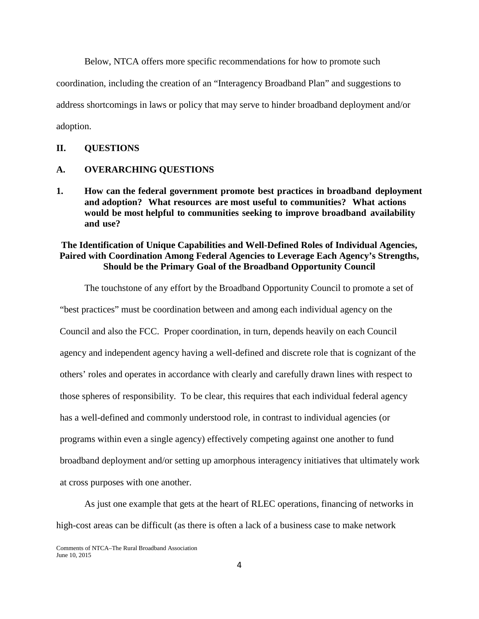Below, NTCA offers more specific recommendations for how to promote such

coordination, including the creation of an "Interagency Broadband Plan" and suggestions to

address shortcomings in laws or policy that may serve to hinder broadband deployment and/or

adoption.

#### **II. QUESTIONS**

### **A. OVERARCHING QUESTIONS**

**1. How can the federal government promote best practices in broadband deployment and adoption? What resources are most useful to communities? What actions would be most helpful to communities seeking to improve broadband availability and use?**

## **The Identification of Unique Capabilities and Well-Defined Roles of Individual Agencies, Paired with Coordination Among Federal Agencies to Leverage Each Agency's Strengths, Should be the Primary Goal of the Broadband Opportunity Council**

The touchstone of any effort by the Broadband Opportunity Council to promote a set of

"best practices" must be coordination between and among each individual agency on the Council and also the FCC. Proper coordination, in turn, depends heavily on each Council agency and independent agency having a well-defined and discrete role that is cognizant of the others' roles and operates in accordance with clearly and carefully drawn lines with respect to those spheres of responsibility. To be clear, this requires that each individual federal agency has a well-defined and commonly understood role, in contrast to individual agencies (or programs within even a single agency) effectively competing against one another to fund broadband deployment and/or setting up amorphous interagency initiatives that ultimately work at cross purposes with one another.

As just one example that gets at the heart of RLEC operations, financing of networks in high-cost areas can be difficult (as there is often a lack of a business case to make network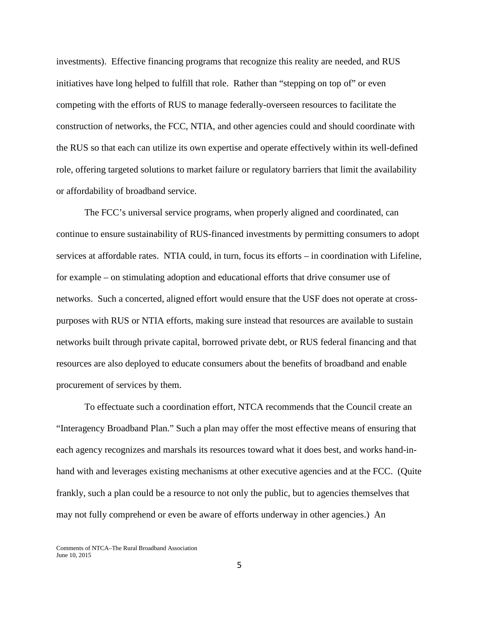investments). Effective financing programs that recognize this reality are needed, and RUS initiatives have long helped to fulfill that role. Rather than "stepping on top of" or even competing with the efforts of RUS to manage federally-overseen resources to facilitate the construction of networks, the FCC, NTIA, and other agencies could and should coordinate with the RUS so that each can utilize its own expertise and operate effectively within its well-defined role, offering targeted solutions to market failure or regulatory barriers that limit the availability or affordability of broadband service.

The FCC's universal service programs, when properly aligned and coordinated, can continue to ensure sustainability of RUS-financed investments by permitting consumers to adopt services at affordable rates. NTIA could, in turn, focus its efforts – in coordination with Lifeline, for example – on stimulating adoption and educational efforts that drive consumer use of networks. Such a concerted, aligned effort would ensure that the USF does not operate at crosspurposes with RUS or NTIA efforts, making sure instead that resources are available to sustain networks built through private capital, borrowed private debt, or RUS federal financing and that resources are also deployed to educate consumers about the benefits of broadband and enable procurement of services by them.

To effectuate such a coordination effort, NTCA recommends that the Council create an "Interagency Broadband Plan." Such a plan may offer the most effective means of ensuring that each agency recognizes and marshals its resources toward what it does best, and works hand-inhand with and leverages existing mechanisms at other executive agencies and at the FCC. (Quite frankly, such a plan could be a resource to not only the public, but to agencies themselves that may not fully comprehend or even be aware of efforts underway in other agencies.) An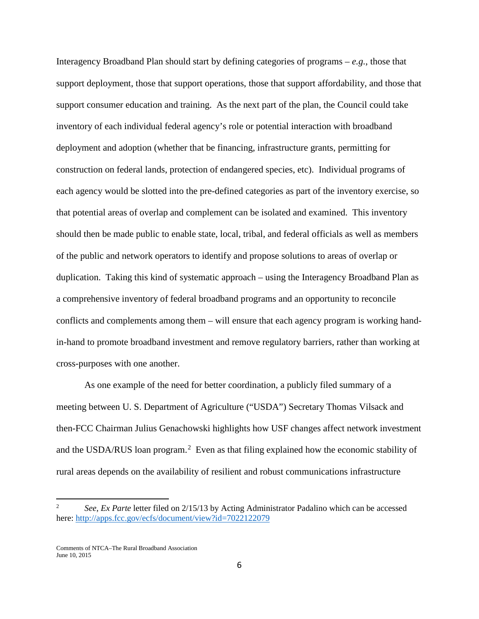Interagency Broadband Plan should start by defining categories of programs – *e.g.*, those that support deployment, those that support operations, those that support affordability, and those that support consumer education and training. As the next part of the plan, the Council could take inventory of each individual federal agency's role or potential interaction with broadband deployment and adoption (whether that be financing, infrastructure grants, permitting for construction on federal lands, protection of endangered species, etc). Individual programs of each agency would be slotted into the pre-defined categories as part of the inventory exercise, so that potential areas of overlap and complement can be isolated and examined. This inventory should then be made public to enable state, local, tribal, and federal officials as well as members of the public and network operators to identify and propose solutions to areas of overlap or duplication. Taking this kind of systematic approach – using the Interagency Broadband Plan as a comprehensive inventory of federal broadband programs and an opportunity to reconcile conflicts and complements among them – will ensure that each agency program is working handin-hand to promote broadband investment and remove regulatory barriers, rather than working at cross-purposes with one another.

As one example of the need for better coordination, a publicly filed summary of a meeting between U. S. Department of Agriculture ("USDA") Secretary Thomas Vilsack and then-FCC Chairman Julius Genachowski highlights how USF changes affect network investment and the USDA/RUS loan program.<sup>[2](#page-6-0)</sup> Even as that filing explained how the economic stability of rural areas depends on the availability of resilient and robust communications infrastructure

<span id="page-6-0"></span><sup>2</sup> *See*, *Ex Parte* letter filed on 2/15/13 by Acting Administrator Padalino which can be accessed here[: http://apps.fcc.gov/ecfs/document/view?id=7022122079](http://apps.fcc.gov/ecfs/document/view?id=7022122079)

Comments of NTCA–The Rural Broadband Association June 10, 2015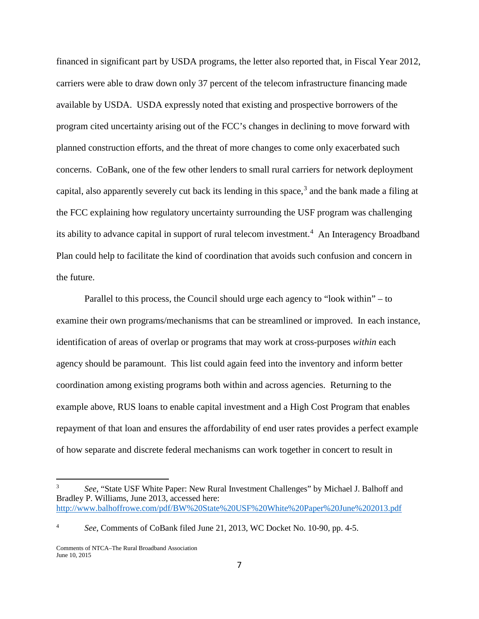financed in significant part by USDA programs, the letter also reported that, in Fiscal Year 2012, carriers were able to draw down only 37 percent of the telecom infrastructure financing made available by USDA. USDA expressly noted that existing and prospective borrowers of the program cited uncertainty arising out of the FCC's changes in declining to move forward with planned construction efforts, and the threat of more changes to come only exacerbated such concerns. CoBank, one of the few other lenders to small rural carriers for network deployment capital, also apparently severely cut back its lending in this space,  $3$  and the bank made a filing at the FCC explaining how regulatory uncertainty surrounding the USF program was challenging its ability to advance capital in support of rural telecom investment.<sup>[4](#page-7-1)</sup> An Interagency Broadband Plan could help to facilitate the kind of coordination that avoids such confusion and concern in the future.

Parallel to this process, the Council should urge each agency to "look within" – to examine their own programs/mechanisms that can be streamlined or improved. In each instance, identification of areas of overlap or programs that may work at cross-purposes *within* each agency should be paramount. This list could again feed into the inventory and inform better coordination among existing programs both within and across agencies. Returning to the example above, RUS loans to enable capital investment and a High Cost Program that enables repayment of that loan and ensures the affordability of end user rates provides a perfect example of how separate and discrete federal mechanisms can work together in concert to result in

<span id="page-7-0"></span><sup>3</sup> *See*, "State USF White Paper: New Rural Investment Challenges" by Michael J. Balhoff and Bradley P. Williams, June 2013, accessed here: <http://www.balhoffrowe.com/pdf/BW%20State%20USF%20White%20Paper%20June%202013.pdf>

<span id="page-7-1"></span><sup>4</sup> *See*, Comments of CoBank filed June 21, 2013, WC Docket No. 10-90, pp. 4-5.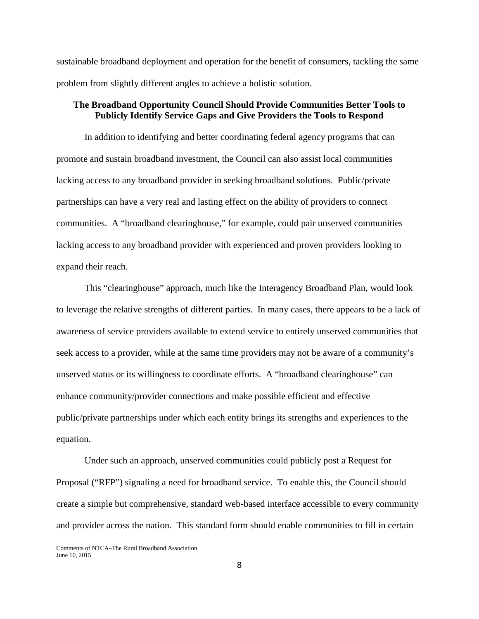sustainable broadband deployment and operation for the benefit of consumers, tackling the same problem from slightly different angles to achieve a holistic solution.

## **The Broadband Opportunity Council Should Provide Communities Better Tools to Publicly Identify Service Gaps and Give Providers the Tools to Respond**

In addition to identifying and better coordinating federal agency programs that can promote and sustain broadband investment, the Council can also assist local communities lacking access to any broadband provider in seeking broadband solutions. Public/private partnerships can have a very real and lasting effect on the ability of providers to connect communities. A "broadband clearinghouse," for example, could pair unserved communities lacking access to any broadband provider with experienced and proven providers looking to expand their reach.

This "clearinghouse" approach, much like the Interagency Broadband Plan, would look to leverage the relative strengths of different parties. In many cases, there appears to be a lack of awareness of service providers available to extend service to entirely unserved communities that seek access to a provider, while at the same time providers may not be aware of a community's unserved status or its willingness to coordinate efforts. A "broadband clearinghouse" can enhance community/provider connections and make possible efficient and effective public/private partnerships under which each entity brings its strengths and experiences to the equation.

Under such an approach, unserved communities could publicly post a Request for Proposal ("RFP") signaling a need for broadband service. To enable this, the Council should create a simple but comprehensive, standard web-based interface accessible to every community and provider across the nation. This standard form should enable communities to fill in certain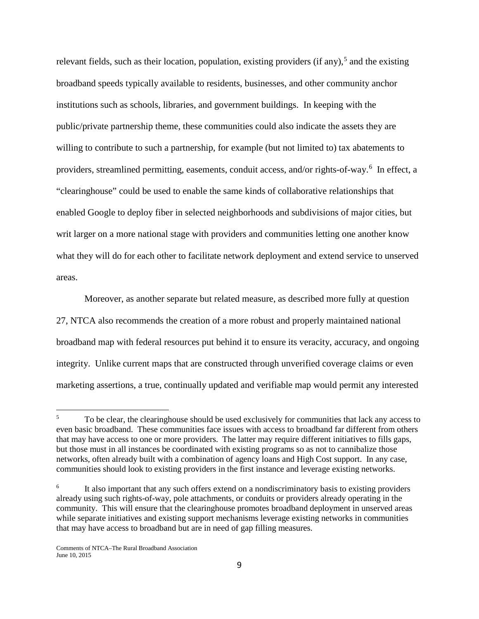relevant fields, such as their location, population, existing providers (if any),<sup>[5](#page-9-0)</sup> and the existing broadband speeds typically available to residents, businesses, and other community anchor institutions such as schools, libraries, and government buildings. In keeping with the public/private partnership theme, these communities could also indicate the assets they are willing to contribute to such a partnership, for example (but not limited to) tax abatements to providers, streamlined permitting, easements, conduit access, and/or rights-of-way.<sup>[6](#page-9-1)</sup> In effect, a "clearinghouse" could be used to enable the same kinds of collaborative relationships that enabled Google to deploy fiber in selected neighborhoods and subdivisions of major cities, but writ larger on a more national stage with providers and communities letting one another know what they will do for each other to facilitate network deployment and extend service to unserved areas.

Moreover, as another separate but related measure, as described more fully at question 27, NTCA also recommends the creation of a more robust and properly maintained national broadband map with federal resources put behind it to ensure its veracity, accuracy, and ongoing integrity. Unlike current maps that are constructed through unverified coverage claims or even marketing assertions, a true, continually updated and verifiable map would permit any interested

<span id="page-9-0"></span><sup>5</sup> To be clear, the clearinghouse should be used exclusively for communities that lack any access to even basic broadband. These communities face issues with access to broadband far different from others that may have access to one or more providers. The latter may require different initiatives to fills gaps, but those must in all instances be coordinated with existing programs so as not to cannibalize those networks, often already built with a combination of agency loans and High Cost support. In any case, communities should look to existing providers in the first instance and leverage existing networks.  $5<sup>5</sup>$ 

<span id="page-9-1"></span>It also important that any such offers extend on a nondiscriminatory basis to existing providers already using such rights-of-way, pole attachments, or conduits or providers already operating in the community. This will ensure that the clearinghouse promotes broadband deployment in unserved areas while separate initiatives and existing support mechanisms leverage existing networks in communities that may have access to broadband but are in need of gap filling measures.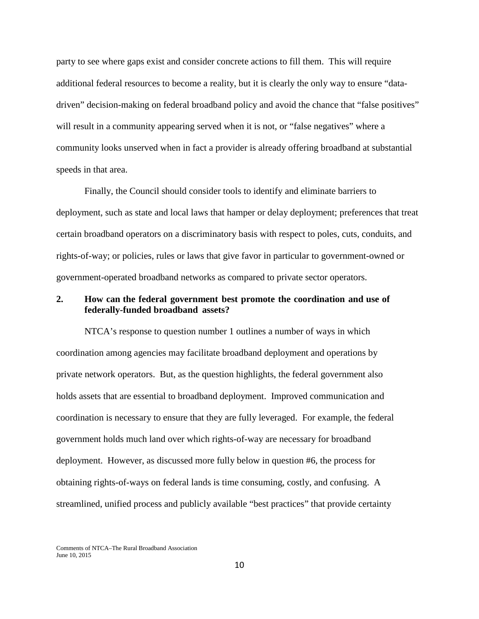party to see where gaps exist and consider concrete actions to fill them. This will require additional federal resources to become a reality, but it is clearly the only way to ensure "datadriven" decision-making on federal broadband policy and avoid the chance that "false positives" will result in a community appearing served when it is not, or "false negatives" where a community looks unserved when in fact a provider is already offering broadband at substantial speeds in that area.

Finally, the Council should consider tools to identify and eliminate barriers to deployment, such as state and local laws that hamper or delay deployment; preferences that treat certain broadband operators on a discriminatory basis with respect to poles, cuts, conduits, and rights-of-way; or policies, rules or laws that give favor in particular to government-owned or government-operated broadband networks as compared to private sector operators.

### **2. How can the federal government best promote the coordination and use of federally-funded broadband assets?**

NTCA's response to question number 1 outlines a number of ways in which coordination among agencies may facilitate broadband deployment and operations by private network operators. But, as the question highlights, the federal government also holds assets that are essential to broadband deployment. Improved communication and coordination is necessary to ensure that they are fully leveraged. For example, the federal government holds much land over which rights-of-way are necessary for broadband deployment. However, as discussed more fully below in question #6, the process for obtaining rights-of-ways on federal lands is time consuming, costly, and confusing. A streamlined, unified process and publicly available "best practices" that provide certainty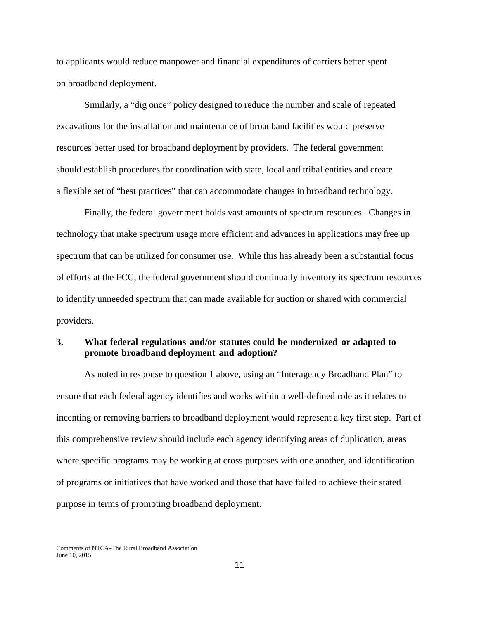to applicants would reduce manpower and financial expenditures of carriers better spent on broadband deployment.

Similarly, a "dig once" policy designed to reduce the number and scale of repeated excavations for the installation and maintenance of broadband facilities would preserve resources better used for broadband deployment by providers. The federal government should establish procedures for coordination with state, local and tribal entities and create a flexible set of "best practices" that can accommodate changes in broadband technology.

Finally, the federal government holds vast amounts of spectrum resources. Changes in technology that make spectrum usage more efficient and advances in applications may free up spectrum that can be utilized for consumer use. While this has already been a substantial focus of efforts at the FCC, the federal government should continually inventory its spectrum resources to identify unneeded spectrum that can made available for auction or shared with commercial providers.

## **3. What federal regulations and/or statutes could be modernized or adapted to promote broadband deployment and adoption?**

As noted in response to question 1 above, using an "Interagency Broadband Plan" to ensure that each federal agency identifies and works within a well-defined role as it relates to incenting or removing barriers to broadband deployment would represent a key first step. Part of this comprehensive review should include each agency identifying areas of duplication, areas where specific programs may be working at cross purposes with one another, and identification of programs or initiatives that have worked and those that have failed to achieve their stated purpose in terms of promoting broadband deployment.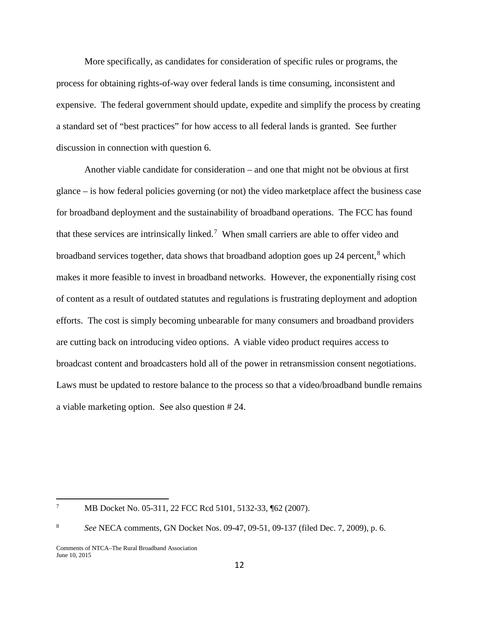More specifically, as candidates for consideration of specific rules or programs, the process for obtaining rights-of-way over federal lands is time consuming, inconsistent and expensive. The federal government should update, expedite and simplify the process by creating a standard set of "best practices" for how access to all federal lands is granted. See further discussion in connection with question 6.

Another viable candidate for consideration – and one that might not be obvious at first glance – is how federal policies governing (or not) the video marketplace affect the business case for broadband deployment and the sustainability of broadband operations. The FCC has found that these services are intrinsically linked.<sup>[7](#page-12-0)</sup> When small carriers are able to offer video and broadband services together, data shows that broadband adoption goes up 24 percent, $8$  which makes it more feasible to invest in broadband networks. However, the exponentially rising cost of content as a result of outdated statutes and regulations is frustrating deployment and adoption efforts. The cost is simply becoming unbearable for many consumers and broadband providers are cutting back on introducing video options. A viable video product requires access to broadcast content and broadcasters hold all of the power in retransmission consent negotiations. Laws must be updated to restore balance to the process so that a video/broadband bundle remains a viable marketing option. See also question # 24.

<span id="page-12-0"></span><sup>7</sup> MB Docket No. 05-311, 22 FCC Rcd 5101, 5132-33, ¶62 (2007).

<span id="page-12-1"></span><sup>8</sup> *See* NECA comments, GN Docket Nos. 09-47, 09-51, 09-137 (filed Dec. 7, 2009), p. 6.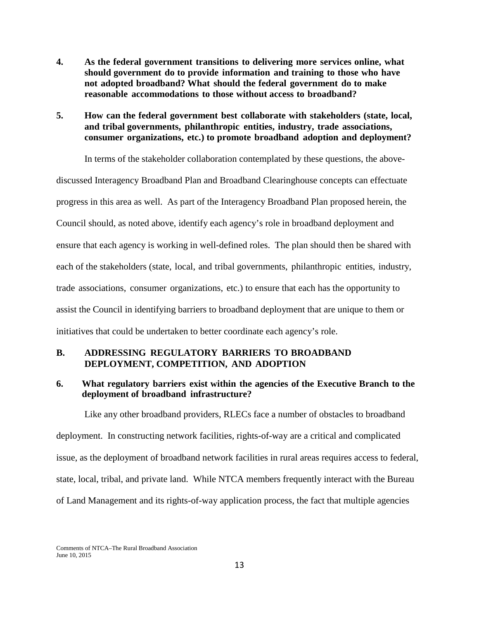- **4. As the federal government transitions to delivering more services online, what should government do to provide information and training to those who have not adopted broadband? What should the federal government do to make reasonable accommodations to those without access to broadband?**
- **5. How can the federal government best collaborate with stakeholders (state, local, and tribal governments, philanthropic entities, industry, trade associations, consumer organizations, etc.) to promote broadband adoption and deployment?**

In terms of the stakeholder collaboration contemplated by these questions, the abovediscussed Interagency Broadband Plan and Broadband Clearinghouse concepts can effectuate progress in this area as well. As part of the Interagency Broadband Plan proposed herein, the Council should, as noted above, identify each agency's role in broadband deployment and ensure that each agency is working in well-defined roles. The plan should then be shared with each of the stakeholders (state, local, and tribal governments, philanthropic entities, industry, trade associations, consumer organizations, etc.) to ensure that each has the opportunity to assist the Council in identifying barriers to broadband deployment that are unique to them or initiatives that could be undertaken to better coordinate each agency's role.

## **B. ADDRESSING REGULATORY BARRIERS TO BROADBAND DEPLOYMENT, COMPETITION, AND ADOPTION**

### **6. What regulatory barriers exist within the agencies of the Executive Branch to the deployment of broadband infrastructure?**

Like any other broadband providers, RLECs face a number of obstacles to broadband deployment. In constructing network facilities, rights-of-way are a critical and complicated issue, as the deployment of broadband network facilities in rural areas requires access to federal, state, local, tribal, and private land. While NTCA members frequently interact with the Bureau of Land Management and its rights-of-way application process, the fact that multiple agencies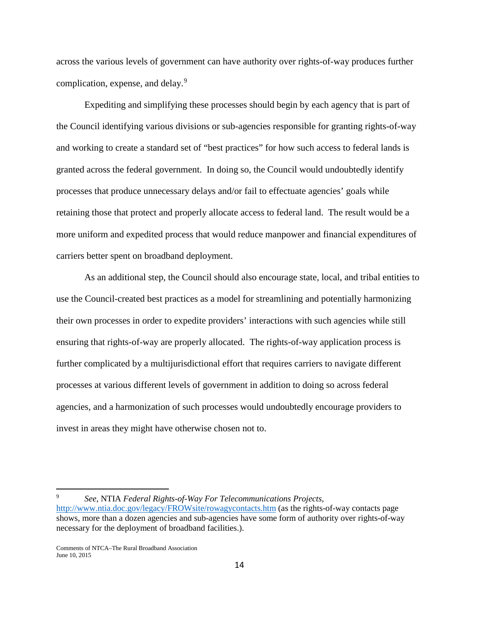across the various levels of government can have authority over rights-of-way produces further complication, expense, and delay.<sup>[9](#page-14-0)</sup>

Expediting and simplifying these processes should begin by each agency that is part of the Council identifying various divisions or sub-agencies responsible for granting rights-of-way and working to create a standard set of "best practices" for how such access to federal lands is granted across the federal government. In doing so, the Council would undoubtedly identify processes that produce unnecessary delays and/or fail to effectuate agencies' goals while retaining those that protect and properly allocate access to federal land. The result would be a more uniform and expedited process that would reduce manpower and financial expenditures of carriers better spent on broadband deployment.

As an additional step, the Council should also encourage state, local, and tribal entities to use the Council-created best practices as a model for streamlining and potentially harmonizing their own processes in order to expedite providers' interactions with such agencies while still ensuring that rights-of-way are properly allocated. The rights-of-way application process is further complicated by a multijurisdictional effort that requires carriers to navigate different processes at various different levels of government in addition to doing so across federal agencies, and a harmonization of such processes would undoubtedly encourage providers to invest in areas they might have otherwise chosen not to.

<span id="page-14-0"></span><sup>9</sup> *See*, NTIA *Federal Rights-of-Way For Telecommunications Projects,*  <http://www.ntia.doc.gov/legacy/FROWsite/rowagycontacts.htm> (as the rights-of-way contacts page shows, more than a dozen agencies and sub-agencies have some form of authority over rights-of-way necessary for the deployment of broadband facilities.).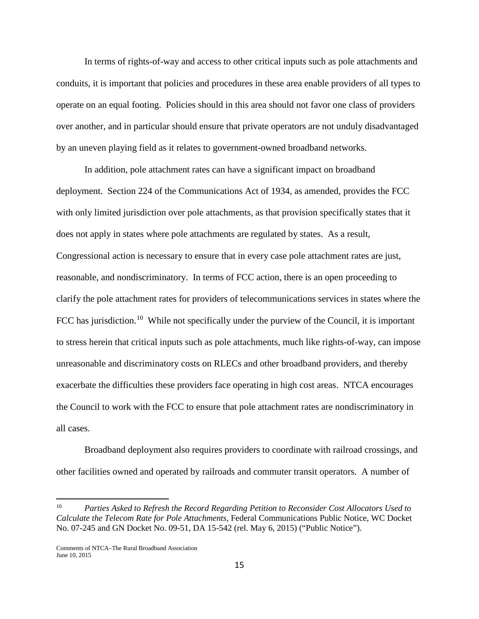In terms of rights-of-way and access to other critical inputs such as pole attachments and conduits, it is important that policies and procedures in these area enable providers of all types to operate on an equal footing. Policies should in this area should not favor one class of providers over another, and in particular should ensure that private operators are not unduly disadvantaged by an uneven playing field as it relates to government-owned broadband networks.

In addition, pole attachment rates can have a significant impact on broadband deployment. Section 224 of the Communications Act of 1934, as amended, provides the FCC with only limited jurisdiction over pole attachments, as that provision specifically states that it does not apply in states where pole attachments are regulated by states. As a result, Congressional action is necessary to ensure that in every case pole attachment rates are just, reasonable, and nondiscriminatory. In terms of FCC action, there is an open proceeding to clarify the pole attachment rates for providers of telecommunications services in states where the FCC has jurisdiction.<sup>[10](#page-15-0)</sup> While not specifically under the purview of the Council, it is important to stress herein that critical inputs such as pole attachments, much like rights-of-way, can impose unreasonable and discriminatory costs on RLECs and other broadband providers, and thereby exacerbate the difficulties these providers face operating in high cost areas. NTCA encourages the Council to work with the FCC to ensure that pole attachment rates are nondiscriminatory in all cases.

Broadband deployment also requires providers to coordinate with railroad crossings, and other facilities owned and operated by railroads and commuter transit operators. A number of

<span id="page-15-0"></span><sup>10</sup> *Parties Asked to Refresh the Record Regarding Petition to Reconsider Cost Allocators Used to Calculate the Telecom Rate for Pole Attachments*, Federal Communications Public Notice, WC Docket No. 07-245 and GN Docket No. 09-51, DA 15-542 (rel. May 6, 2015) ("Public Notice").

Comments of NTCA–The Rural Broadband Association June 10, 2015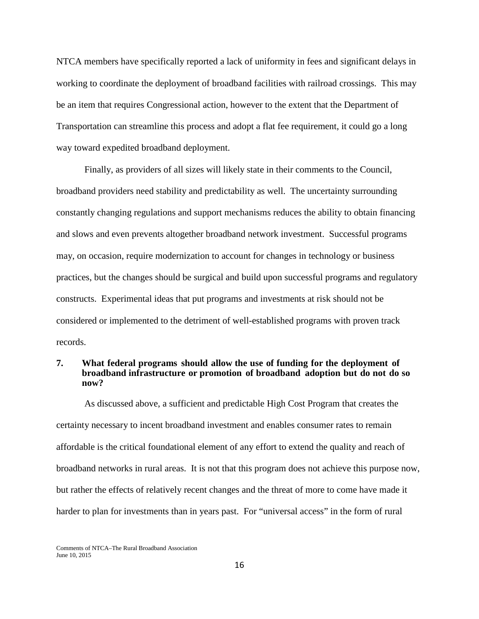NTCA members have specifically reported a lack of uniformity in fees and significant delays in working to coordinate the deployment of broadband facilities with railroad crossings. This may be an item that requires Congressional action, however to the extent that the Department of Transportation can streamline this process and adopt a flat fee requirement, it could go a long way toward expedited broadband deployment.

Finally, as providers of all sizes will likely state in their comments to the Council, broadband providers need stability and predictability as well. The uncertainty surrounding constantly changing regulations and support mechanisms reduces the ability to obtain financing and slows and even prevents altogether broadband network investment. Successful programs may, on occasion, require modernization to account for changes in technology or business practices, but the changes should be surgical and build upon successful programs and regulatory constructs. Experimental ideas that put programs and investments at risk should not be considered or implemented to the detriment of well-established programs with proven track records.

#### **7. What federal programs should allow the use of funding for the deployment of broadband infrastructure or promotion of broadband adoption but do not do so now?**

As discussed above, a sufficient and predictable High Cost Program that creates the certainty necessary to incent broadband investment and enables consumer rates to remain affordable is the critical foundational element of any effort to extend the quality and reach of broadband networks in rural areas. It is not that this program does not achieve this purpose now, but rather the effects of relatively recent changes and the threat of more to come have made it harder to plan for investments than in years past. For "universal access" in the form of rural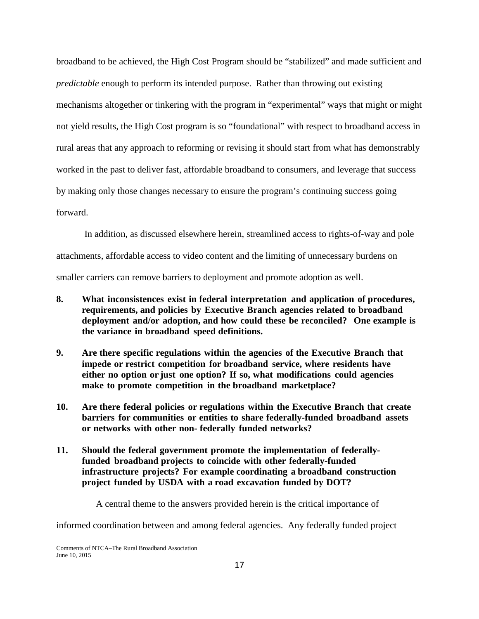broadband to be achieved, the High Cost Program should be "stabilized" and made sufficient and *predictable* enough to perform its intended purpose. Rather than throwing out existing mechanisms altogether or tinkering with the program in "experimental" ways that might or might not yield results, the High Cost program is so "foundational" with respect to broadband access in rural areas that any approach to reforming or revising it should start from what has demonstrably worked in the past to deliver fast, affordable broadband to consumers, and leverage that success by making only those changes necessary to ensure the program's continuing success going forward.

In addition, as discussed elsewhere herein, streamlined access to rights-of-way and pole attachments, affordable access to video content and the limiting of unnecessary burdens on smaller carriers can remove barriers to deployment and promote adoption as well.

- **8. What inconsistences exist in federal interpretation and application of procedures, requirements, and policies by Executive Branch agencies related to broadband deployment and/or adoption, and how could these be reconciled? One example is the variance in broadband speed definitions.**
- **9. Are there specific regulations within the agencies of the Executive Branch that impede or restrict competition for broadband service, where residents have either no option or just one option? If so, what modifications could agencies make to promote competition in the broadband marketplace?**
- **10. Are there federal policies or regulations within the Executive Branch that create barriers for communities or entities to share federally-funded broadband assets or networks with other non- federally funded networks?**
- **11. Should the federal government promote the implementation of federallyfunded broadband projects to coincide with other federally-funded infrastructure projects? For example coordinating a broadband construction project funded by USDA with a road excavation funded by DOT?**

A central theme to the answers provided herein is the critical importance of

informed coordination between and among federal agencies. Any federally funded project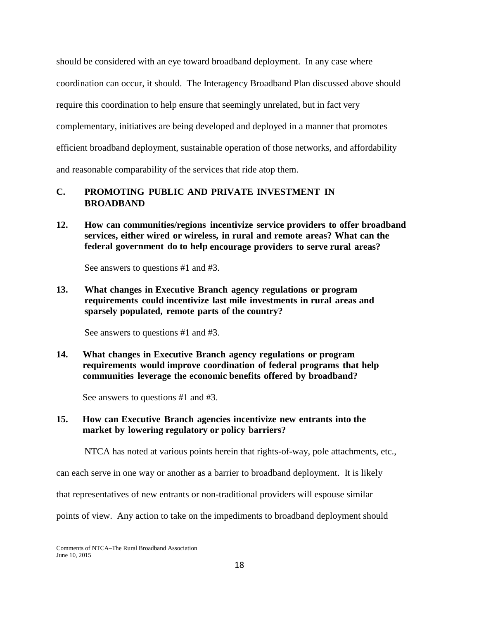should be considered with an eye toward broadband deployment. In any case where coordination can occur, it should. The Interagency Broadband Plan discussed above should require this coordination to help ensure that seemingly unrelated, but in fact very complementary, initiatives are being developed and deployed in a manner that promotes efficient broadband deployment, sustainable operation of those networks, and affordability and reasonable comparability of the services that ride atop them.

# **C. PROMOTING PUBLIC AND PRIVATE INVESTMENT IN BROADBAND**

**12. How can communities/regions incentivize service providers to offer broadband services, either wired or wireless, in rural and remote areas? What can the federal government do to help encourage providers to serve rural areas?**

See answers to questions #1 and #3.

**13. What changes in Executive Branch agency regulations or program requirements could incentivize last mile investments in rural areas and sparsely populated, remote parts of the country?**

See answers to questions #1 and #3.

**14. What changes in Executive Branch agency regulations or program requirements would improve coordination of federal programs that help communities leverage the economic benefits offered by broadband?**

See answers to questions #1 and #3.

# **15. How can Executive Branch agencies incentivize new entrants into the market by lowering regulatory or policy barriers?**

NTCA has noted at various points herein that rights-of-way, pole attachments, etc.,

can each serve in one way or another as a barrier to broadband deployment. It is likely

that representatives of new entrants or non-traditional providers will espouse similar

points of view. Any action to take on the impediments to broadband deployment should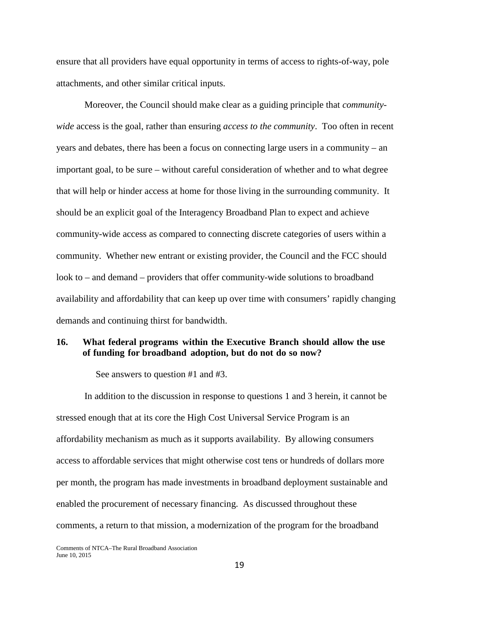ensure that all providers have equal opportunity in terms of access to rights-of-way, pole attachments, and other similar critical inputs.

Moreover, the Council should make clear as a guiding principle that *communitywide* access is the goal, rather than ensuring *access to the community*. Too often in recent years and debates, there has been a focus on connecting large users in a community – an important goal, to be sure – without careful consideration of whether and to what degree that will help or hinder access at home for those living in the surrounding community. It should be an explicit goal of the Interagency Broadband Plan to expect and achieve community-wide access as compared to connecting discrete categories of users within a community. Whether new entrant or existing provider, the Council and the FCC should look to – and demand – providers that offer community-wide solutions to broadband availability and affordability that can keep up over time with consumers' rapidly changing demands and continuing thirst for bandwidth.

### **16. What federal programs within the Executive Branch should allow the use of funding for broadband adoption, but do not do so now?**

See answers to question #1 and #3.

In addition to the discussion in response to questions 1 and 3 herein, it cannot be stressed enough that at its core the High Cost Universal Service Program is an affordability mechanism as much as it supports availability. By allowing consumers access to affordable services that might otherwise cost tens or hundreds of dollars more per month, the program has made investments in broadband deployment sustainable and enabled the procurement of necessary financing. As discussed throughout these comments, a return to that mission, a modernization of the program for the broadband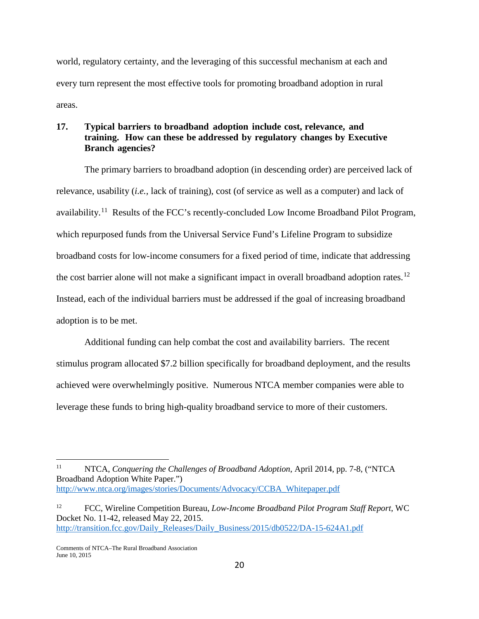world, regulatory certainty, and the leveraging of this successful mechanism at each and every turn represent the most effective tools for promoting broadband adoption in rural areas.

## **17. Typical barriers to broadband adoption include cost, relevance, and training. How can these be addressed by regulatory changes by Executive Branch agencies?**

The primary barriers to broadband adoption (in descending order) are perceived lack of relevance, usability (*i.e.,* lack of training), cost (of service as well as a computer) and lack of availability.[11](#page-20-0) Results of the FCC's recently-concluded Low Income Broadband Pilot Program, which repurposed funds from the Universal Service Fund's Lifeline Program to subsidize broadband costs for low-income consumers for a fixed period of time, indicate that addressing the cost barrier alone will not make a significant impact in overall broadband adoption rates.<sup>[12](#page-20-1)</sup> Instead, each of the individual barriers must be addressed if the goal of increasing broadband adoption is to be met.

Additional funding can help combat the cost and availability barriers. The recent stimulus program allocated \$7.2 billion specifically for broadband deployment, and the results achieved were overwhelmingly positive. Numerous NTCA member companies were able to leverage these funds to bring high-quality broadband service to more of their customers.

<span id="page-20-0"></span><sup>&</sup>lt;sup>11</sup> NTCA, *Conquering the Challenges of Broadband Adoption*, April 2014, pp. 7-8, ("NTCA Broadband Adoption White Paper.") [http://www.ntca.org/images/stories/Documents/Advocacy/CCBA\\_Whitepaper.pdf](http://www.ntca.org/images/stories/Documents/Advocacy/CCBA_Whitepaper.pdf)  $\overline{a}$ 

<span id="page-20-1"></span><sup>12</sup> FCC, Wireline Competition Bureau, *Low-Income Broadband Pilot Program Staff Report*, WC Docket No. 11-42, released May 22, 2015. [http://transition.fcc.gov/Daily\\_Releases/Daily\\_Business/2015/db0522/DA-15-624A1.pdf](http://transition.fcc.gov/Daily_Releases/Daily_Business/2015/db0522/DA-15-624A1.pdf)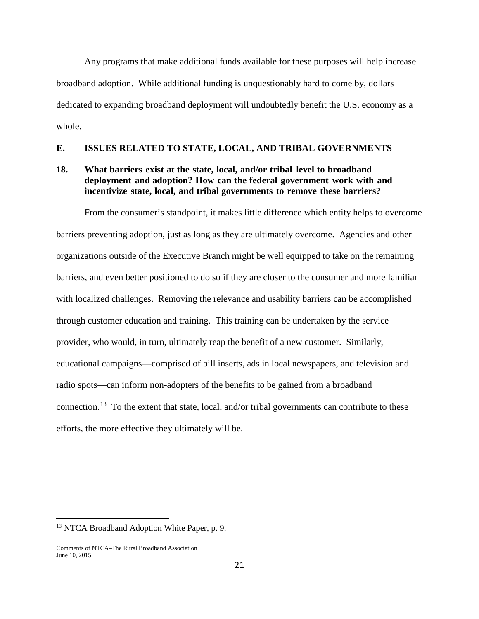Any programs that make additional funds available for these purposes will help increase broadband adoption. While additional funding is unquestionably hard to come by, dollars dedicated to expanding broadband deployment will undoubtedly benefit the U.S. economy as a whole.

## **E. ISSUES RELATED TO STATE, LOCAL, AND TRIBAL GOVERNMENTS**

## **18. What barriers exist at the state, local, and/or tribal level to broadband deployment and adoption? How can the federal government work with and incentivize state, local, and tribal governments to remove these barriers?**

From the consumer's standpoint, it makes little difference which entity helps to overcome barriers preventing adoption, just as long as they are ultimately overcome. Agencies and other organizations outside of the Executive Branch might be well equipped to take on the remaining barriers, and even better positioned to do so if they are closer to the consumer and more familiar with localized challenges. Removing the relevance and usability barriers can be accomplished through customer education and training. This training can be undertaken by the service provider, who would, in turn, ultimately reap the benefit of a new customer. Similarly, educational campaigns—comprised of bill inserts, ads in local newspapers, and television and radio spots—can inform non-adopters of the benefits to be gained from a broadband connection.<sup>[13](#page-21-0)</sup> To the extent that state, local, and/or tribal governments can contribute to these efforts, the more effective they ultimately will be.

<span id="page-21-0"></span><sup>&</sup>lt;sup>13</sup> NTCA Broadband Adoption White Paper, p. 9.

Comments of NTCA–The Rural Broadband Association June 10, 2015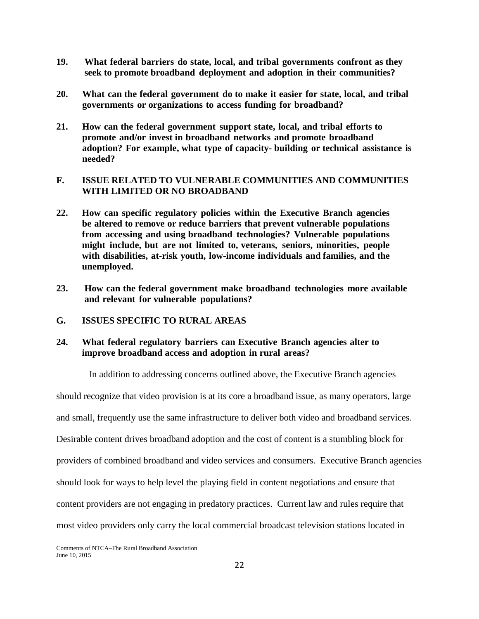- **19. What federal barriers do state, local, and tribal governments confront as they seek to promote broadband deployment and adoption in their communities?**
- **20. What can the federal government do to make it easier for state, local, and tribal governments or organizations to access funding for broadband?**
- **21. How can the federal government support state, local, and tribal efforts to promote and/or invest in broadband networks and promote broadband adoption? For example, what type of capacity- building or technical assistance is needed?**

## **F. ISSUE RELATED TO VULNERABLE COMMUNITIES AND COMMUNITIES WITH LIMITED OR NO BROADBAND**

- **22. How can specific regulatory policies within the Executive Branch agencies be altered to remove or reduce barriers that prevent vulnerable populations from accessing and using broadband technologies? Vulnerable populations might include, but are not limited to, veterans, seniors, minorities, people with disabilities, at-risk youth, low-income individuals and families, and the unemployed.**
- **23. How can the federal government make broadband technologies more available and relevant for vulnerable populations?**
- **G. ISSUES SPECIFIC TO RURAL AREAS**

## **24. What federal regulatory barriers can Executive Branch agencies alter to improve broadband access and adoption in rural areas?**

In addition to addressing concerns outlined above, the Executive Branch agencies

should recognize that video provision is at its core a broadband issue, as many operators, large and small, frequently use the same infrastructure to deliver both video and broadband services. Desirable content drives broadband adoption and the cost of content is a stumbling block for providers of combined broadband and video services and consumers. Executive Branch agencies should look for ways to help level the playing field in content negotiations and ensure that content providers are not engaging in predatory practices. Current law and rules require that most video providers only carry the local commercial broadcast television stations located in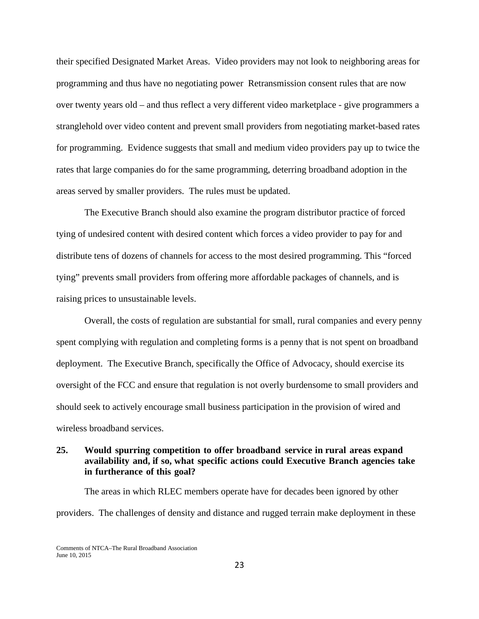their specified Designated Market Areas. Video providers may not look to neighboring areas for programming and thus have no negotiating power Retransmission consent rules that are now over twenty years old – and thus reflect a very different video marketplace - give programmers a stranglehold over video content and prevent small providers from negotiating market-based rates for programming. Evidence suggests that small and medium video providers pay up to twice the rates that large companies do for the same programming, deterring broadband adoption in the areas served by smaller providers. The rules must be updated.

The Executive Branch should also examine the program distributor practice of forced tying of undesired content with desired content which forces a video provider to pay for and distribute tens of dozens of channels for access to the most desired programming. This "forced tying" prevents small providers from offering more affordable packages of channels, and is raising prices to unsustainable levels.

Overall, the costs of regulation are substantial for small, rural companies and every penny spent complying with regulation and completing forms is a penny that is not spent on broadband deployment. The Executive Branch, specifically the Office of Advocacy, should exercise its oversight of the FCC and ensure that regulation is not overly burdensome to small providers and should seek to actively encourage small business participation in the provision of wired and wireless broadband services.

## **25. Would spurring competition to offer broadband service in rural areas expand availability and, if so, what specific actions could Executive Branch agencies take in furtherance of this goal?**

The areas in which RLEC members operate have for decades been ignored by other providers. The challenges of density and distance and rugged terrain make deployment in these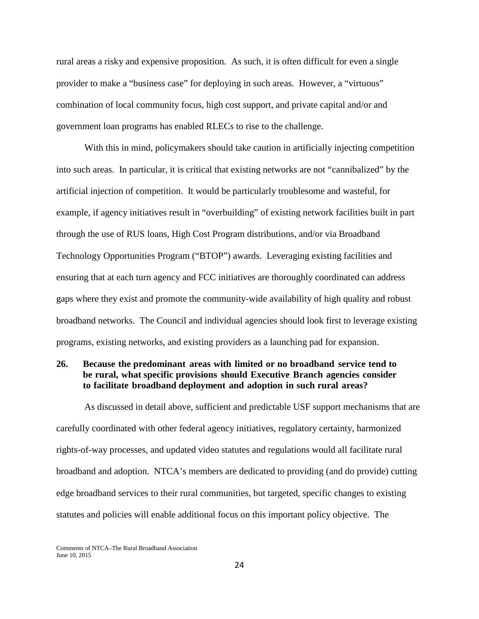rural areas a risky and expensive proposition. As such, it is often difficult for even a single provider to make a "business case" for deploying in such areas. However, a "virtuous" combination of local community focus, high cost support, and private capital and/or and government loan programs has enabled RLECs to rise to the challenge.

With this in mind, policymakers should take caution in artificially injecting competition into such areas. In particular, it is critical that existing networks are not "cannibalized" by the artificial injection of competition. It would be particularly troublesome and wasteful, for example, if agency initiatives result in "overbuilding" of existing network facilities built in part through the use of RUS loans, High Cost Program distributions, and/or via Broadband Technology Opportunities Program ("BTOP") awards. Leveraging existing facilities and ensuring that at each turn agency and FCC initiatives are thoroughly coordinated can address gaps where they exist and promote the community-wide availability of high quality and robust broadband networks. The Council and individual agencies should look first to leverage existing programs, existing networks, and existing providers as a launching pad for expansion.

## **26. Because the predominant areas with limited or no broadband service tend to be rural, what specific provisions should Executive Branch agencies consider to facilitate broadband deployment and adoption in such rural areas?**

As discussed in detail above, sufficient and predictable USF support mechanisms that are carefully coordinated with other federal agency initiatives, regulatory certainty, harmonized rights-of-way processes, and updated video statutes and regulations would all facilitate rural broadband and adoption. NTCA's members are dedicated to providing (and do provide) cutting edge broadband services to their rural communities, but targeted, specific changes to existing statutes and policies will enable additional focus on this important policy objective. The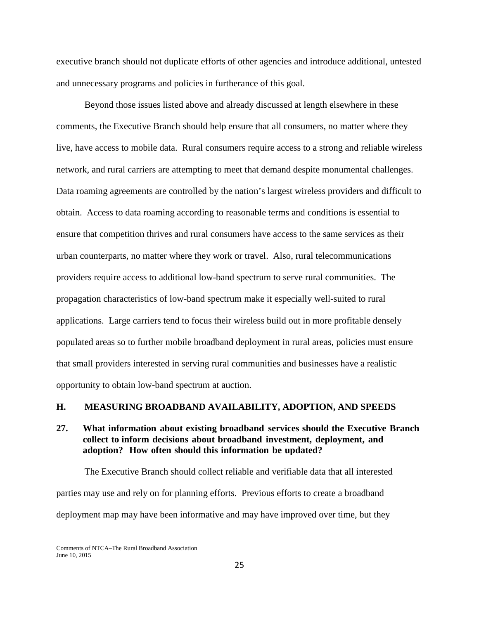executive branch should not duplicate efforts of other agencies and introduce additional, untested and unnecessary programs and policies in furtherance of this goal.

Beyond those issues listed above and already discussed at length elsewhere in these comments, the Executive Branch should help ensure that all consumers, no matter where they live, have access to mobile data. Rural consumers require access to a strong and reliable wireless network, and rural carriers are attempting to meet that demand despite monumental challenges. Data roaming agreements are controlled by the nation's largest wireless providers and difficult to obtain. Access to data roaming according to reasonable terms and conditions is essential to ensure that competition thrives and rural consumers have access to the same services as their urban counterparts, no matter where they work or travel. Also, rural telecommunications providers require access to additional low-band spectrum to serve rural communities. The propagation characteristics of low-band spectrum make it especially well-suited to rural applications. Large carriers tend to focus their wireless build out in more profitable densely populated areas so to further mobile broadband deployment in rural areas, policies must ensure that small providers interested in serving rural communities and businesses have a realistic opportunity to obtain low-band spectrum at auction.

#### **H. MEASURING BROADBAND AVAILABILITY, ADOPTION, AND SPEEDS**

### **27. What information about existing broadband services should the Executive Branch collect to inform decisions about broadband investment, deployment, and adoption? How often should this information be updated?**

The Executive Branch should collect reliable and verifiable data that all interested parties may use and rely on for planning efforts. Previous efforts to create a broadband deployment map may have been informative and may have improved over time, but they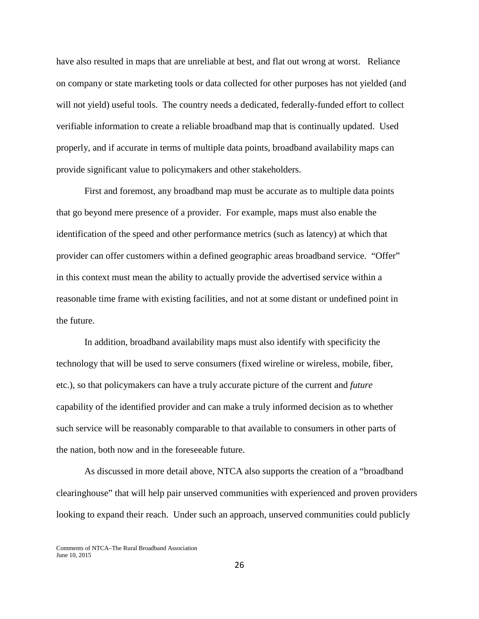have also resulted in maps that are unreliable at best, and flat out wrong at worst. Reliance on company or state marketing tools or data collected for other purposes has not yielded (and will not yield) useful tools. The country needs a dedicated, federally-funded effort to collect verifiable information to create a reliable broadband map that is continually updated. Used properly, and if accurate in terms of multiple data points, broadband availability maps can provide significant value to policymakers and other stakeholders.

First and foremost, any broadband map must be accurate as to multiple data points that go beyond mere presence of a provider. For example, maps must also enable the identification of the speed and other performance metrics (such as latency) at which that provider can offer customers within a defined geographic areas broadband service. "Offer" in this context must mean the ability to actually provide the advertised service within a reasonable time frame with existing facilities, and not at some distant or undefined point in the future.

In addition, broadband availability maps must also identify with specificity the technology that will be used to serve consumers (fixed wireline or wireless, mobile, fiber, etc.), so that policymakers can have a truly accurate picture of the current and *future* capability of the identified provider and can make a truly informed decision as to whether such service will be reasonably comparable to that available to consumers in other parts of the nation, both now and in the foreseeable future.

As discussed in more detail above, NTCA also supports the creation of a "broadband clearinghouse" that will help pair unserved communities with experienced and proven providers looking to expand their reach. Under such an approach, unserved communities could publicly